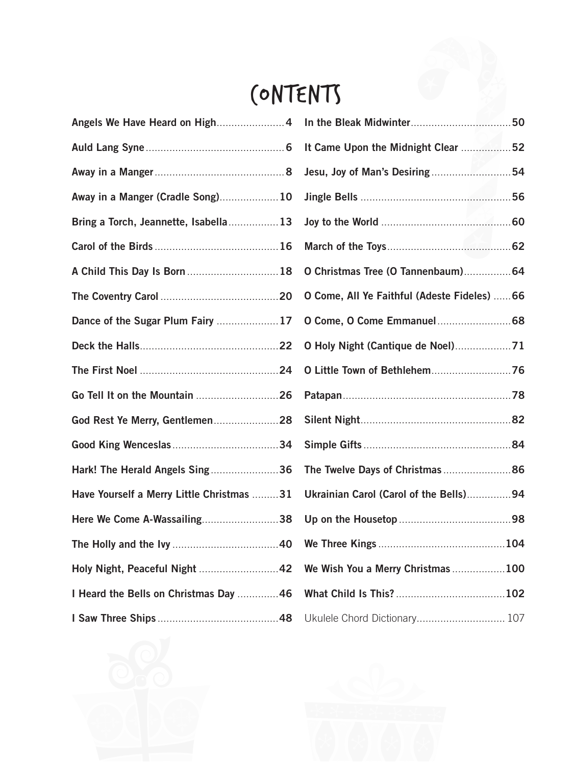## CONTENTS

|                                        | A Child This Day Is Born 18 O Christmas Tree (O Tannenbaum)64                    |
|----------------------------------------|----------------------------------------------------------------------------------|
|                                        |                                                                                  |
|                                        |                                                                                  |
|                                        |                                                                                  |
|                                        |                                                                                  |
|                                        |                                                                                  |
|                                        |                                                                                  |
|                                        |                                                                                  |
|                                        | Hark! The Herald Angels Sing 36 The Twelve Days of Christmas 86                  |
|                                        | Have Yourself a Merry Little Christmas 31 Ukrainian Carol (Carol of the Bells)94 |
|                                        |                                                                                  |
|                                        |                                                                                  |
| Holy Night, Peaceful Night  42         | We Wish You a Merry Christmas100                                                 |
| I Heard the Bells on Christmas Day  46 |                                                                                  |
|                                        | Ukulele Chord Dictionary 107                                                     |